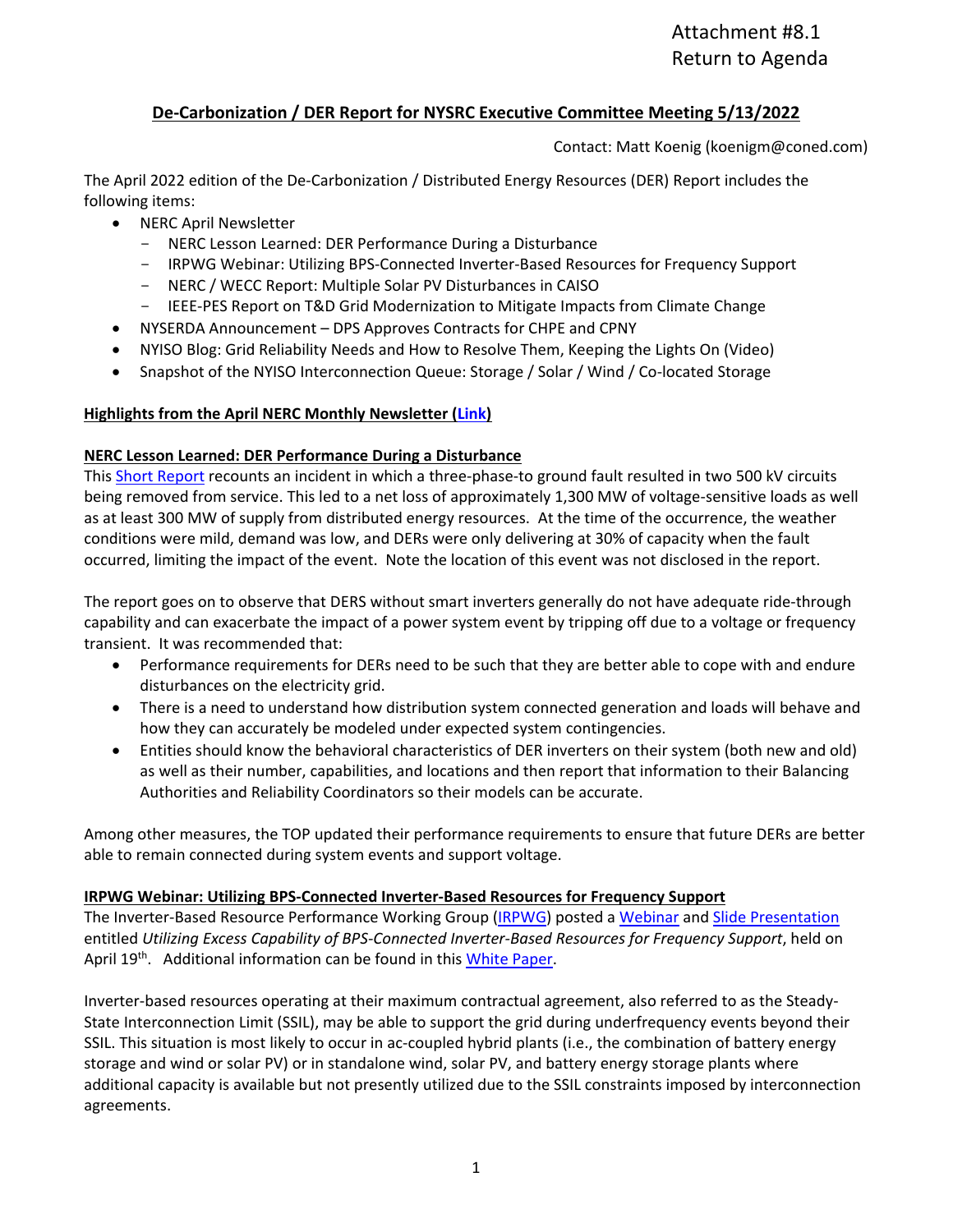## **De-Carbonization / DER Report for NYSRC Executive Committee Meeting 5/13/2022**

Contact: Matt Koenig (koenigm@coned.com)

The April 2022 edition of the De-Carbonization / Distributed Energy Resources (DER) Report includes the following items:

- NERC April Newsletter
	- NERC Lesson Learned: DER Performance During a Disturbance
	- IRPWG Webinar: Utilizing BPS-Connected Inverter-Based Resources for Frequency Support
	- NERC / WECC Report: Multiple Solar PV Disturbances in CAISO
	- IEEE-PES Report on T&D Grid Modernization to Mitigate Impacts from Climate Change
	- NYSERDA Announcement DPS Approves Contracts for CHPE and CPNY
- NYISO Blog: Grid Reliability Needs and How to Resolve Them, Keeping the Lights On (Video)
- Snapshot of the NYISO Interconnection Queue: Storage / Solar / Wind / Co-located Storage

### **Highlights from the April NERC Monthly Newsletter [\(Link\)](https://www.nerc.com/news/newsletters/Newsletters/NERCNews-2022-04.pdf)**

### **NERC Lesson Learned: DER Performance During a Disturbance**

This **Short Report** recounts an incident in which a three-phase-to ground fault resulted in two 500 kV circuits being removed from service. This led to a net loss of approximately 1,300 MW of voltage-sensitive loads as well as at least 300 MW of supply from distributed energy resources. At the time of the occurrence, the weather conditions were mild, demand was low, and DERs were only delivering at 30% of capacity when the fault occurred, limiting the impact of the event. Note the location of this event was not disclosed in the report.

The report goes on to observe that DERS without smart inverters generally do not have adequate ride-through capability and can exacerbate the impact of a power system event by tripping off due to a voltage or frequency transient. It was recommended that:

- Performance requirements for DERs need to be such that they are better able to cope with and endure disturbances on the electricity grid.
- There is a need to understand how distribution system connected generation and loads will behave and how they can accurately be modeled under expected system contingencies.
- Entities should know the behavioral characteristics of DER inverters on their system (both new and old) as well as their number, capabilities, and locations and then report that information to their Balancing Authorities and Reliability Coordinators so their models can be accurate.

Among other measures, the TOP updated their performance requirements to ensure that future DERs are better able to remain connected during system events and support voltage.

## **IRPWG Webinar: Utilizing BPS-Connected Inverter-Based Resources for Frequency Support**

The Inverter-Based Resource Performance Working Group [\(IRPWG\)](https://www.nerc.com/comm/RSTC/Pages/IRPWG.aspx) posted a [Webinar](https://nerc.webex.com/recordingservice/sites/nerc/recording/6cd07f37a230103aaf5f00505681f098/playback) and [Slide Presentation](https://www.nerc.com/comm/RSTC/IRPS/Webinar_Utilizing_Excess_IBR_Capability_FR.pdf) entitled *Utilizing Excess Capability of BPS-Connected Inverter-Based Resources for Frequency Support*, held on April 19<sup>th</sup>. Additional information can be found in thi[s White Paper.](https://www.nerc.com/comm/RSTC_Reliability_Guidelines/White_Paper_IBR_Hybrid_Plant_Frequency_Response.pdf)

Inverter-based resources operating at their maximum contractual agreement, also referred to as the Steady-State Interconnection Limit (SSIL), may be able to support the grid during underfrequency events beyond their SSIL. This situation is most likely to occur in ac-coupled hybrid plants (i.e., the combination of battery energy storage and wind or solar PV) or in standalone wind, solar PV, and battery energy storage plants where additional capacity is available but not presently utilized due to the SSIL constraints imposed by interconnection agreements.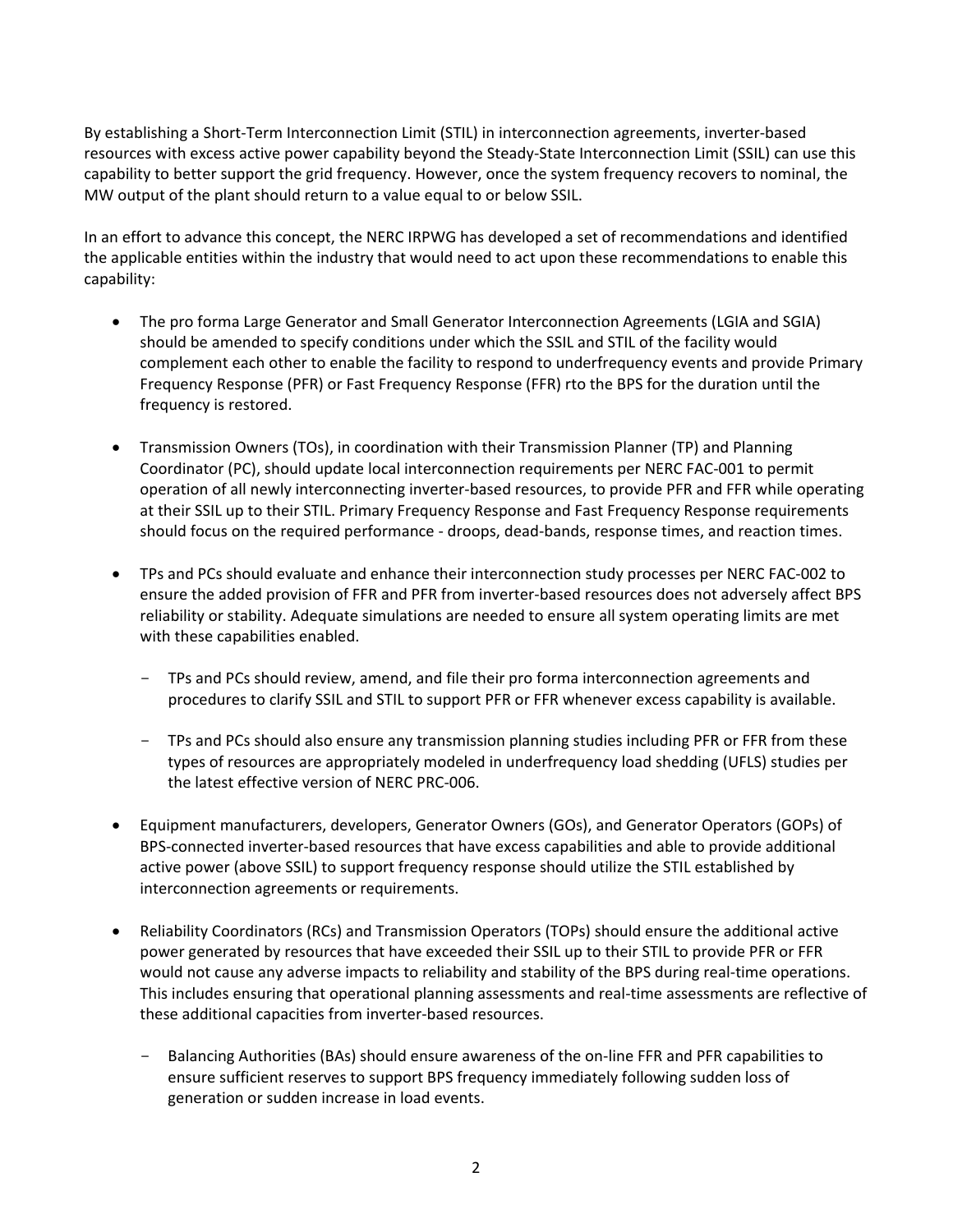By establishing a Short-Term Interconnection Limit (STIL) in interconnection agreements, inverter-based resources with excess active power capability beyond the Steady-State Interconnection Limit (SSIL) can use this capability to better support the grid frequency. However, once the system frequency recovers to nominal, the MW output of the plant should return to a value equal to or below SSIL.

In an effort to advance this concept, the NERC IRPWG has developed a set of recommendations and identified the applicable entities within the industry that would need to act upon these recommendations to enable this capability:

- The pro forma Large Generator and Small Generator Interconnection Agreements (LGIA and SGIA) should be amended to specify conditions under which the SSIL and STIL of the facility would complement each other to enable the facility to respond to underfrequency events and provide Primary Frequency Response (PFR) or Fast Frequency Response (FFR) rto the BPS for the duration until the frequency is restored.
- Transmission Owners (TOs), in coordination with their Transmission Planner (TP) and Planning Coordinator (PC), should update local interconnection requirements per NERC FAC-001 to permit operation of all newly interconnecting inverter-based resources, to provide PFR and FFR while operating at their SSIL up to their STIL. Primary Frequency Response and Fast Frequency Response requirements should focus on the required performance - droops, dead-bands, response times, and reaction times.
- TPs and PCs should evaluate and enhance their interconnection study processes per NERC FAC-002 to ensure the added provision of FFR and PFR from inverter-based resources does not adversely affect BPS reliability or stability. Adequate simulations are needed to ensure all system operating limits are met with these capabilities enabled.
	- TPs and PCs should review, amend, and file their pro forma interconnection agreements and procedures to clarify SSIL and STIL to support PFR or FFR whenever excess capability is available.
	- TPs and PCs should also ensure any transmission planning studies including PFR or FFR from these types of resources are appropriately modeled in underfrequency load shedding (UFLS) studies per the latest effective version of NERC PRC-006.
- Equipment manufacturers, developers, Generator Owners (GOs), and Generator Operators (GOPs) of BPS-connected inverter-based resources that have excess capabilities and able to provide additional active power (above SSIL) to support frequency response should utilize the STIL established by interconnection agreements or requirements.
- Reliability Coordinators (RCs) and Transmission Operators (TOPs) should ensure the additional active power generated by resources that have exceeded their SSIL up to their STIL to provide PFR or FFR would not cause any adverse impacts to reliability and stability of the BPS during real-time operations. This includes ensuring that operational planning assessments and real-time assessments are reflective of these additional capacities from inverter-based resources.
	- Balancing Authorities (BAs) should ensure awareness of the on-line FFR and PFR capabilities to ensure sufficient reserves to support BPS frequency immediately following sudden loss of generation or sudden increase in load events.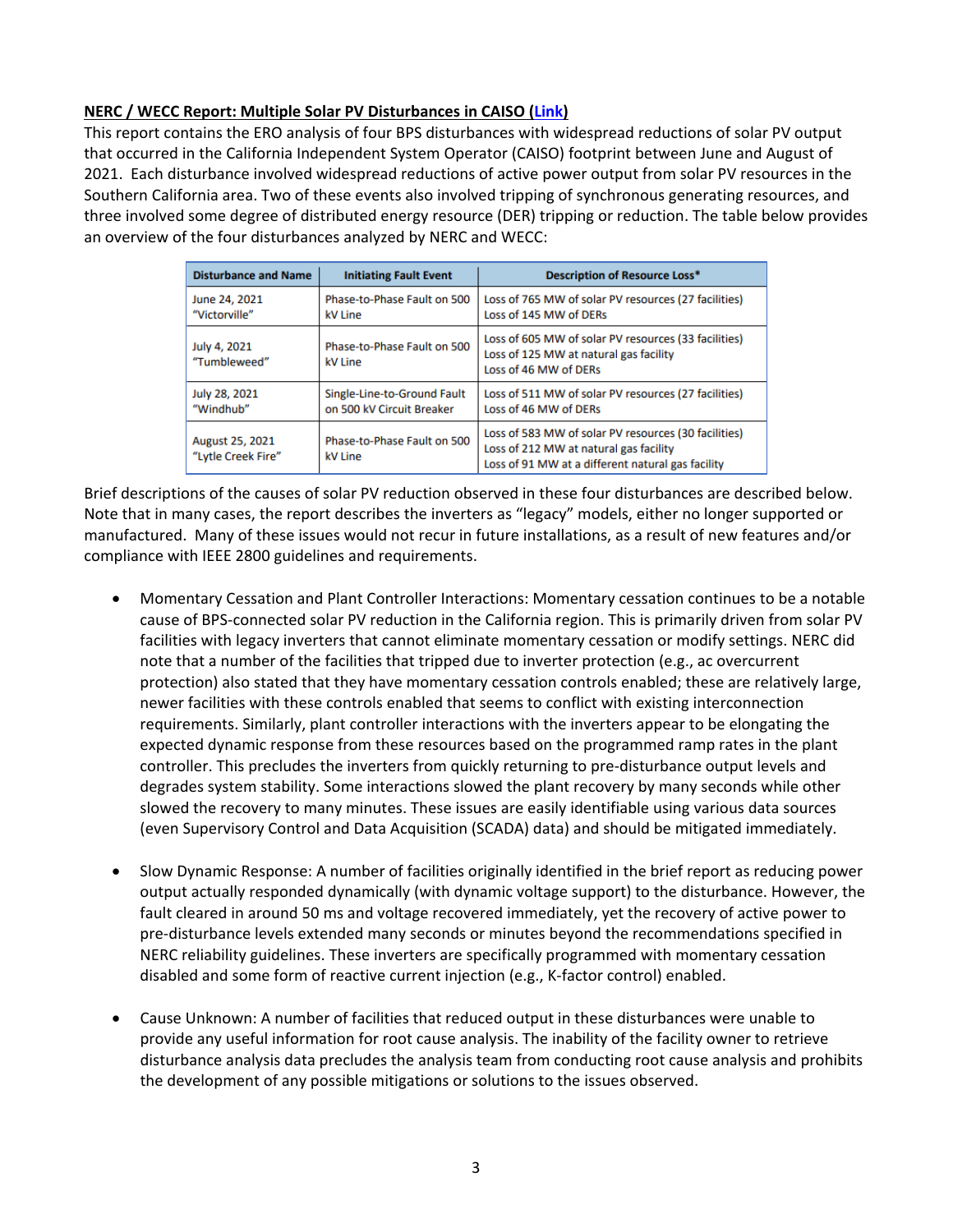## **NERC / WECC Report: Multiple Solar PV Disturbances in CAISO [\(Link\)](https://www.nerc.com/pa/rrm/ea/Documents/NERC_2021_California_Solar_PV_Disturbances_Report.pdf)**

This report contains the ERO analysis of four BPS disturbances with widespread reductions of solar PV output that occurred in the California Independent System Operator (CAISO) footprint between June and August of 2021. Each disturbance involved widespread reductions of active power output from solar PV resources in the Southern California area. Two of these events also involved tripping of synchronous generating resources, and three involved some degree of distributed energy resource (DER) tripping or reduction. The table below provides an overview of the four disturbances analyzed by NERC and WECC:

| <b>Disturbance and Name</b>                  | <b>Initiating Fault Event</b>                                                                                            | <b>Description of Resource Loss*</b>                                                                                                                |
|----------------------------------------------|--------------------------------------------------------------------------------------------------------------------------|-----------------------------------------------------------------------------------------------------------------------------------------------------|
| June 24, 2021<br>"Victorville"               | Phase-to-Phase Fault on 500<br>Loss of 765 MW of solar PV resources (27 facilities)<br>Loss of 145 MW of DERs<br>kV Line |                                                                                                                                                     |
| July 4, 2021<br>"Tumbleweed"                 | Phase-to-Phase Fault on 500<br>kV Line                                                                                   | Loss of 605 MW of solar PV resources (33 facilities)<br>Loss of 125 MW at natural gas facility<br>Loss of 46 MW of DERs                             |
| July 28, 2021<br>"Windhub"                   | Single-Line-to-Ground Fault<br>on 500 kV Circuit Breaker                                                                 | Loss of 511 MW of solar PV resources (27 facilities)<br>Loss of 46 MW of DERs                                                                       |
| <b>August 25, 2021</b><br>"Lytle Creek Fire" | Phase-to-Phase Fault on 500<br>kV Line                                                                                   | Loss of 583 MW of solar PV resources (30 facilities)<br>Loss of 212 MW at natural gas facility<br>Loss of 91 MW at a different natural gas facility |

Brief descriptions of the causes of solar PV reduction observed in these four disturbances are described below. Note that in many cases, the report describes the inverters as "legacy" models, either no longer supported or manufactured. Many of these issues would not recur in future installations, as a result of new features and/or compliance with IEEE 2800 guidelines and requirements.

- Momentary Cessation and Plant Controller Interactions: Momentary cessation continues to be a notable cause of BPS-connected solar PV reduction in the California region. This is primarily driven from solar PV facilities with legacy inverters that cannot eliminate momentary cessation or modify settings. NERC did note that a number of the facilities that tripped due to inverter protection (e.g., ac overcurrent protection) also stated that they have momentary cessation controls enabled; these are relatively large, newer facilities with these controls enabled that seems to conflict with existing interconnection requirements. Similarly, plant controller interactions with the inverters appear to be elongating the expected dynamic response from these resources based on the programmed ramp rates in the plant controller. This precludes the inverters from quickly returning to pre-disturbance output levels and degrades system stability. Some interactions slowed the plant recovery by many seconds while other slowed the recovery to many minutes. These issues are easily identifiable using various data sources (even Supervisory Control and Data Acquisition (SCADA) data) and should be mitigated immediately.
- Slow Dynamic Response: A number of facilities originally identified in the brief report as reducing power output actually responded dynamically (with dynamic voltage support) to the disturbance. However, the fault cleared in around 50 ms and voltage recovered immediately, yet the recovery of active power to pre-disturbance levels extended many seconds or minutes beyond the recommendations specified in NERC reliability guidelines. These inverters are specifically programmed with momentary cessation disabled and some form of reactive current injection (e.g., K-factor control) enabled.
- Cause Unknown: A number of facilities that reduced output in these disturbances were unable to provide any useful information for root cause analysis. The inability of the facility owner to retrieve disturbance analysis data precludes the analysis team from conducting root cause analysis and prohibits the development of any possible mitigations or solutions to the issues observed.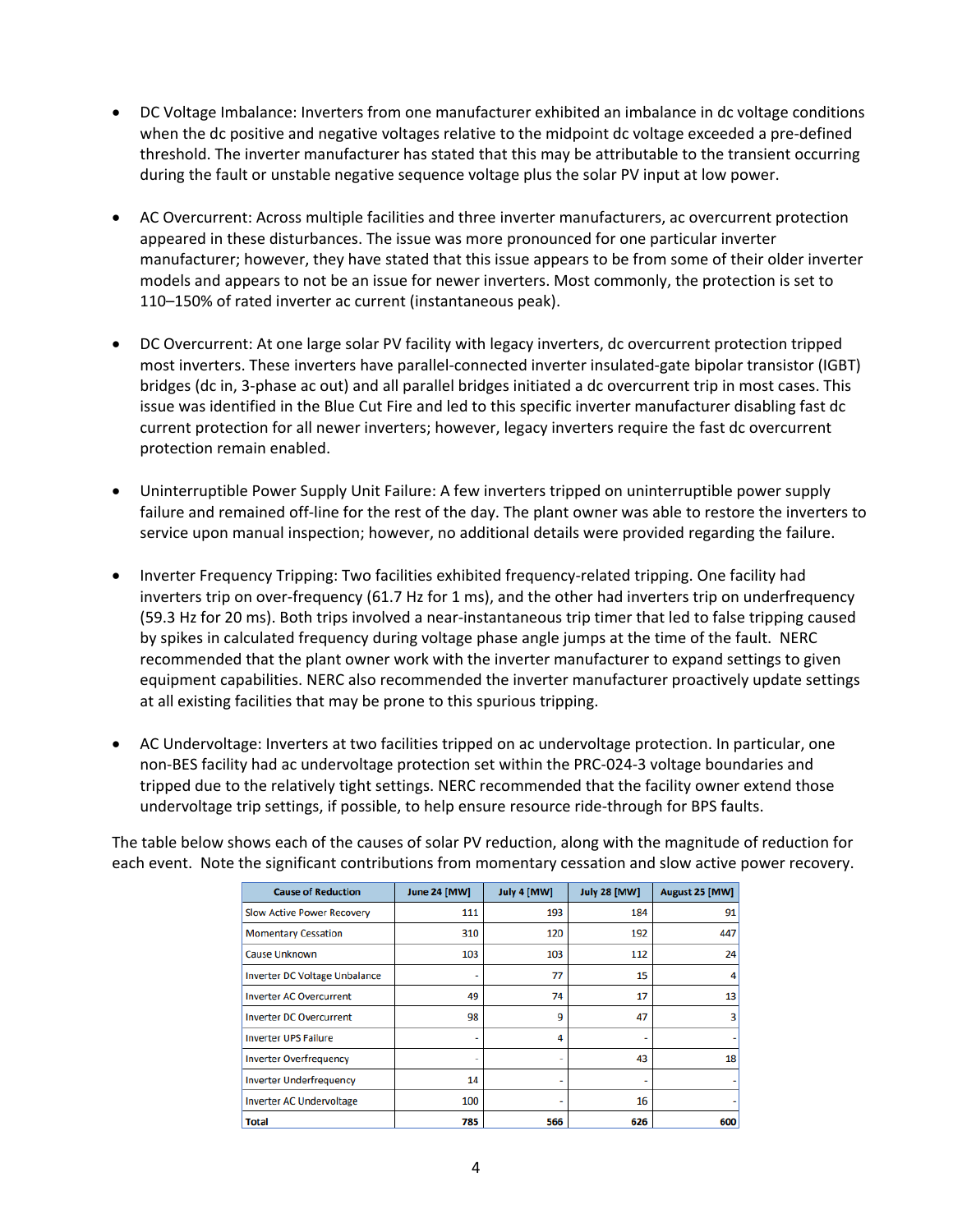- DC Voltage Imbalance: Inverters from one manufacturer exhibited an imbalance in dc voltage conditions when the dc positive and negative voltages relative to the midpoint dc voltage exceeded a pre-defined threshold. The inverter manufacturer has stated that this may be attributable to the transient occurring during the fault or unstable negative sequence voltage plus the solar PV input at low power.
- AC Overcurrent: Across multiple facilities and three inverter manufacturers, ac overcurrent protection appeared in these disturbances. The issue was more pronounced for one particular inverter manufacturer; however, they have stated that this issue appears to be from some of their older inverter models and appears to not be an issue for newer inverters. Most commonly, the protection is set to 110–150% of rated inverter ac current (instantaneous peak).
- DC Overcurrent: At one large solar PV facility with legacy inverters, dc overcurrent protection tripped most inverters. These inverters have parallel-connected inverter insulated-gate bipolar transistor (IGBT) bridges (dc in, 3-phase ac out) and all parallel bridges initiated a dc overcurrent trip in most cases. This issue was identified in the Blue Cut Fire and led to this specific inverter manufacturer disabling fast dc current protection for all newer inverters; however, legacy inverters require the fast dc overcurrent protection remain enabled.
- Uninterruptible Power Supply Unit Failure: A few inverters tripped on uninterruptible power supply failure and remained off-line for the rest of the day. The plant owner was able to restore the inverters to service upon manual inspection; however, no additional details were provided regarding the failure.
- Inverter Frequency Tripping: Two facilities exhibited frequency-related tripping. One facility had inverters trip on over-frequency (61.7 Hz for 1 ms), and the other had inverters trip on underfrequency (59.3 Hz for 20 ms). Both trips involved a near-instantaneous trip timer that led to false tripping caused by spikes in calculated frequency during voltage phase angle jumps at the time of the fault. NERC recommended that the plant owner work with the inverter manufacturer to expand settings to given equipment capabilities. NERC also recommended the inverter manufacturer proactively update settings at all existing facilities that may be prone to this spurious tripping.
- AC Undervoltage: Inverters at two facilities tripped on ac undervoltage protection. In particular, one non-BES facility had ac undervoltage protection set within the PRC-024-3 voltage boundaries and tripped due to the relatively tight settings. NERC recommended that the facility owner extend those undervoltage trip settings, if possible, to help ensure resource ride-through for BPS faults.

The table below shows each of the causes of solar PV reduction, along with the magnitude of reduction for each event. Note the significant contributions from momentary cessation and slow active power recovery.

| <b>Cause of Reduction</b>            | <b>June 24 [MW]</b> | July 4 [MW] | <b>July 28 [MW]</b> | August 25 [MW] |
|--------------------------------------|---------------------|-------------|---------------------|----------------|
| <b>Slow Active Power Recovery</b>    | 111                 | 193         | 184                 | 91             |
| <b>Momentary Cessation</b>           | 310                 | 120         | 192                 | 447            |
| <b>Cause Unknown</b>                 | 103                 | 103         | 112                 | 24             |
| <b>Inverter DC Voltage Unbalance</b> |                     | 77          | 15                  | 4              |
| <b>Inverter AC Overcurrent</b>       | 49                  | 74          | 17                  | 13             |
| <b>Inverter DC Overcurrent</b>       | 98                  | 9           | 47                  | 3              |
| <b>Inverter UPS Failure</b>          | ٠                   | 4           |                     |                |
| <b>Inverter Overfrequency</b>        | ٠                   | ۰           | 43                  | 18             |
| <b>Inverter Underfrequency</b>       | 14                  | ۰           |                     |                |
| <b>Inverter AC Undervoltage</b>      | 100                 | ۰           | 16                  |                |
| <b>Total</b>                         | 785                 | 566         | 626                 | 600            |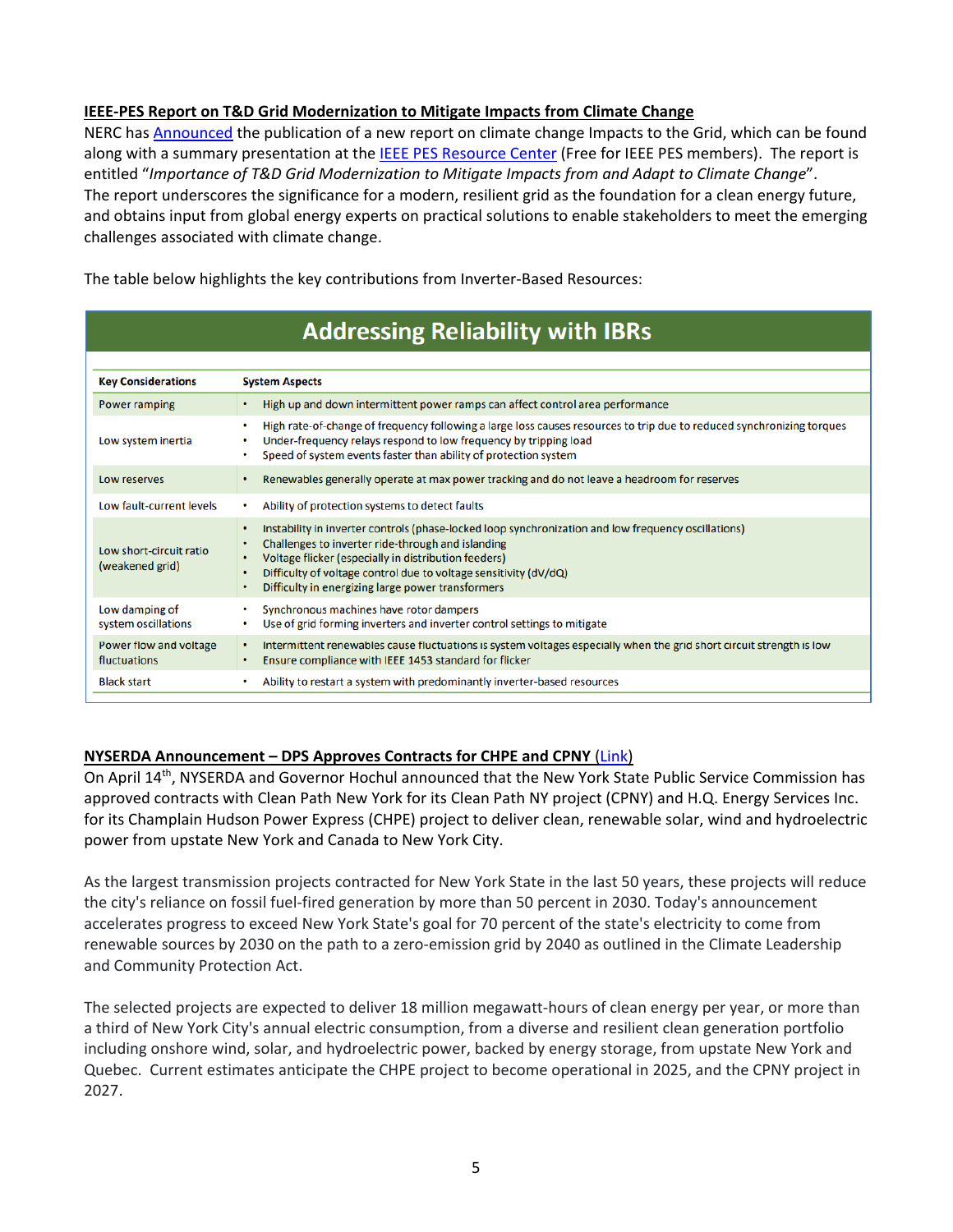## **IEEE-PES Report on T&D Grid Modernization to Mitigate Impacts from Climate Change**

NERC ha[s Announced](https://www.nerc.com/news/Headlines%20DL/IEEE%20Report%20Announcement%20Final.pdf) the publication of a new report on climate change Impacts to the Grid, which can be found along with a summary presentation at the [IEEE PES Resource Center](https://resourcecenter.ieee-pes.org/education/webinars/PES_ED_WEB_TDG_042022_SLD.html) (Free for IEEE PES members). The report is entitled "*Importance of T&D Grid Modernization to Mitigate Impacts from and Adapt to Climate Change*". The report underscores the significance for a modern, resilient grid as the foundation for a clean energy future, and obtains input from global energy experts on practical solutions to enable stakeholders to meet the emerging challenges associated with climate change.

The table below highlights the key contributions from Inverter-Based Resources:

| <b>Addressing Reliability with IBRS</b>    |                                                                                                                                                                                                                                                                                                                                                          |  |  |  |  |
|--------------------------------------------|----------------------------------------------------------------------------------------------------------------------------------------------------------------------------------------------------------------------------------------------------------------------------------------------------------------------------------------------------------|--|--|--|--|
|                                            |                                                                                                                                                                                                                                                                                                                                                          |  |  |  |  |
| <b>Key Considerations</b>                  | <b>System Aspects</b>                                                                                                                                                                                                                                                                                                                                    |  |  |  |  |
| Power ramping                              | High up and down intermittent power ramps can affect control area performance<br>$\bullet$                                                                                                                                                                                                                                                               |  |  |  |  |
| Low system inertia                         | High rate-of-change of frequency following a large loss causes resources to trip due to reduced synchronizing torques<br>Under-frequency relays respond to low frequency by tripping load<br>Speed of system events faster than ability of protection system                                                                                             |  |  |  |  |
| Low reserves                               | Renewables generally operate at max power tracking and do not leave a headroom for reserves                                                                                                                                                                                                                                                              |  |  |  |  |
| Low fault-current levels                   | Ability of protection systems to detect faults                                                                                                                                                                                                                                                                                                           |  |  |  |  |
| Low short-circuit ratio<br>(weakened grid) | Instability in inverter controls (phase-locked loop synchronization and low frequency oscillations)<br>٠<br>Challenges to inverter ride-through and islanding<br>٠<br>Voltage flicker (especially in distribution feeders)<br>٠<br>Difficulty of voltage control due to voltage sensitivity (dV/dQ)<br>Difficulty in energizing large power transformers |  |  |  |  |
| Low damping of<br>system oscillations      | Synchronous machines have rotor dampers<br>Use of grid forming inverters and inverter control settings to mitigate<br>٠                                                                                                                                                                                                                                  |  |  |  |  |
| Power flow and voltage<br>fluctuations     | Intermittent renewables cause fluctuations is system voltages especially when the grid short circuit strength is low<br>٠<br>Ensure compliance with IEEE 1453 standard for flicker<br>٠                                                                                                                                                                  |  |  |  |  |
| <b>Black start</b>                         | Ability to restart a system with predominantly inverter-based resources                                                                                                                                                                                                                                                                                  |  |  |  |  |
|                                            |                                                                                                                                                                                                                                                                                                                                                          |  |  |  |  |

# **Additionation Delteletter critele IDDe**

## **NYSERDA Announcement – DPS Approves Contracts for CHPE and CPNY** [\(Link\)](https://www.nyserda.ny.gov/About/Newsroom/2022-Announcements/2022-04-14-Governor-Hochul-Announces-Approval-of-Contracts)

On April 14<sup>th</sup>, NYSERDA and Governor Hochul announced that the New York State Public Service Commission has approved contracts with Clean Path New York for its Clean Path NY project (CPNY) and H.Q. Energy Services Inc. for its Champlain Hudson Power Express (CHPE) project to deliver clean, renewable solar, wind and hydroelectric power from upstate New York and Canada to New York City.

As the largest transmission projects contracted for New York State in the last 50 years, these projects will reduce the city's reliance on fossil fuel-fired generation by more than 50 percent in 2030. Today's announcement accelerates progress to exceed New York State's goal for 70 percent of the state's electricity to come from renewable sources by 2030 on the path to a zero-emission grid by 2040 as outlined in the Climate Leadership and Community Protection Act.

The selected projects are expected to deliver 18 million megawatt-hours of clean energy per year, or more than a third of New York City's annual electric consumption, from a diverse and resilient clean generation portfolio including onshore wind, solar, and hydroelectric power, backed by energy storage, from upstate New York and Quebec. Current estimates anticipate the CHPE project to become operational in 2025, and the CPNY project in 2027.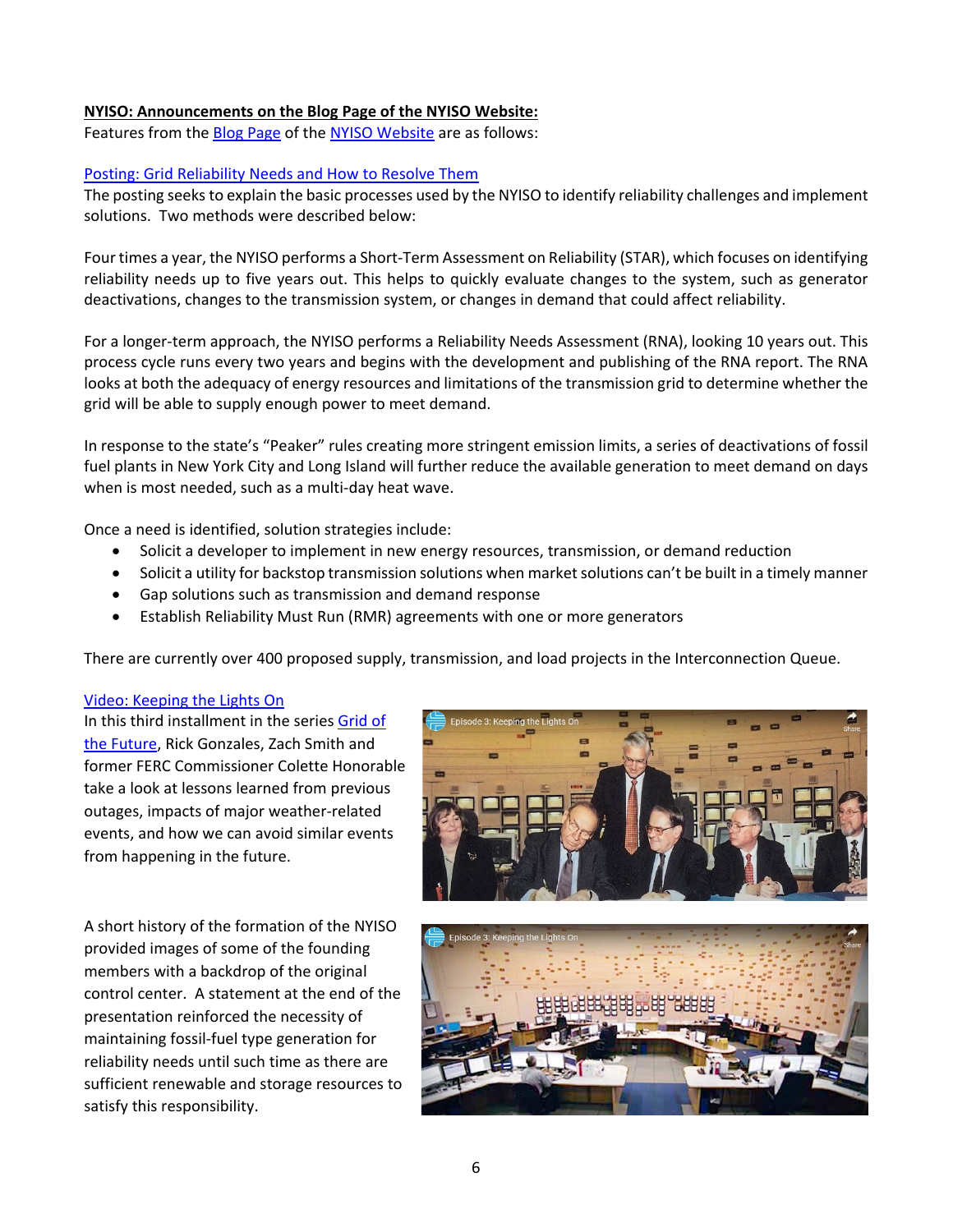#### **NYISO: Announcements on the Blog Page of the NYISO Website:**

Features from the [Blog Page](https://www.nyiso.com/blog) of the [NYISO Website](http://www.nyiso.com/) are as follows:

#### [Posting: Grid Reliability Needs and How to Resolve Them](https://www.nyiso.com/-/grid-reliability-needs-and-how-to-resolve-them)

The posting seeks to explain the basic processes used by the NYISO to identify reliability challenges and implement solutions. Two methods were described below:

Four times a year, the NYISO performs a Short-Term Assessment on Reliability (STAR), which focuses on identifying reliability needs up to five years out. This helps to quickly evaluate changes to the system, such as generator deactivations, changes to the transmission system, or changes in demand that could affect reliability.

For a longer-term approach, the NYISO performs a Reliability Needs Assessment (RNA), looking 10 years out. This process cycle runs every two years and begins with the development and publishing of the RNA report. The RNA looks at both the adequacy of energy resources and limitations of the transmission grid to determine whether the grid will be able to supply enough power to meet demand.

In response to the state's "Peaker" rules creating more stringent emission limits, a series of deactivations of fossil fuel plants in New York City and Long Island will further reduce the available generation to meet demand on days when is most needed, such as a multi-day heat wave.

Once a need is identified, solution strategies include:

- Solicit a developer to implement in new energy resources, transmission, or demand reduction
- Solicit a utility for backstop transmission solutions when market solutions can't be built in a timely manner
- Gap solutions such as transmission and demand response
- Establish Reliability Must Run (RMR) agreements with one or more generators

There are currently over 400 proposed supply, transmission, and load projects in the Interconnection Queue.

#### [Video: Keeping the Lights On](https://www.nyiso.com/-/video-episode-3-keeping-the-lights-on)

In this third installment in the series [Grid of](https://www.nyiso.com/2040grid)  [the Future,](https://www.nyiso.com/2040grid) Rick Gonzales, Zach Smith and former FERC Commissioner Colette Honorable take a look at lessons learned from previous outages, impacts of major weather-related events, and how we can avoid similar events from happening in the future.

A short history of the formation of the NYISO provided images of some of the founding members with a backdrop of the original control center. A statement at the end of the presentation reinforced the necessity of maintaining fossil-fuel type generation for reliability needs until such time as there are sufficient renewable and storage resources to satisfy this responsibility.



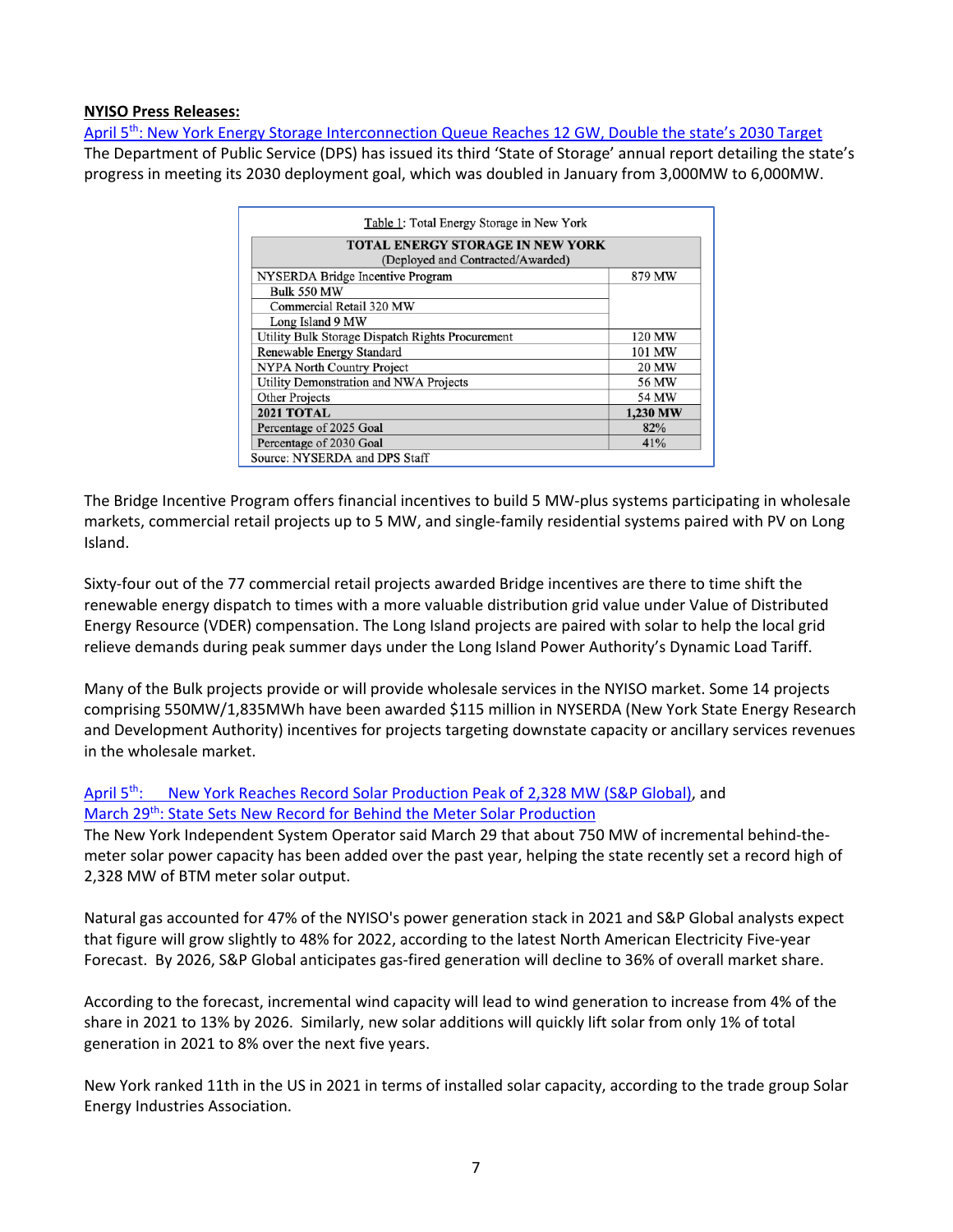#### **NYISO Press Releases:**

April 5<sup>th</sup>: New York Energy Storage Interconnection Queue Reaches 12 GW, Double the state's 2030 Target The Department of Public Service (DPS) has issued its third 'State of Storage' annual report detailing the state's progress in meeting its 2030 deployment goal, which was doubled in January from 3,000MW to 6,000MW.

| Table 1: Total Energy Storage in New York        |          |  |  |  |  |
|--------------------------------------------------|----------|--|--|--|--|
| <b>TOTAL ENERGY STORAGE IN NEW YORK</b>          |          |  |  |  |  |
| (Deployed and Contracted/Awarded)                |          |  |  |  |  |
| NYSERDA Bridge Incentive Program                 | 879 MW   |  |  |  |  |
| <b>Bulk 550 MW</b>                               |          |  |  |  |  |
| Commercial Retail 320 MW                         |          |  |  |  |  |
| Long Island 9 MW                                 |          |  |  |  |  |
| Utility Bulk Storage Dispatch Rights Procurement | 120 MW   |  |  |  |  |
| Renewable Energy Standard                        | 101 MW   |  |  |  |  |
| <b>NYPA North Country Project</b>                | 20 MW    |  |  |  |  |
| Utility Demonstration and NWA Projects           | 56 MW    |  |  |  |  |
| <b>Other Projects</b>                            | 54 MW    |  |  |  |  |
| <b>2021 TOTAL</b>                                | 1,230 MW |  |  |  |  |
| Percentage of 2025 Goal                          | 82%      |  |  |  |  |
| Percentage of 2030 Goal                          | 41%      |  |  |  |  |
| Source: NYSERDA and DPS Staff                    |          |  |  |  |  |

The Bridge Incentive Program offers financial incentives to build 5 MW-plus systems participating in wholesale markets, commercial retail projects up to 5 MW, and single-family residential systems paired with PV on Long Island.

Sixty-four out of the 77 commercial retail projects awarded Bridge incentives are there to time shift the renewable energy dispatch to times with a more valuable distribution grid value under Value of Distributed Energy Resource (VDER) compensation. The Long Island projects are paired with solar to help the local grid relieve demands during peak summer days under the Long Island Power Authority's Dynamic Load Tariff.

Many of the Bulk projects provide or will provide wholesale services in the NYISO market. Some 14 projects comprising 550MW/1,835MWh have been awarded \$115 million in NYSERDA (New York State Energy Research and Development Authority) incentives for projects targeting downstate capacity or ancillary services revenues in the wholesale market.

[April 5th: New York Reaches Record Solar Production Peak of 2,328 MW \(S&P Global\),](https://www.spglobal.com/commodityinsights/en/market-insights/latest-news/energy-transition/032922-new-york-reaches-record-solar-power-production-peak-of-2328-mw) and March 29<sup>th</sup>: State Sets New Record for Behind the Meter Solar Production

The New York Independent System Operator said March 29 that about 750 MW of incremental behind-themeter solar power capacity has been added over the past year, helping the state recently set a record high of 2,328 MW of BTM meter solar output.

Natural gas accounted for 47% of the NYISO's power generation stack in 2021 and S&P Global analysts expect that figure will grow slightly to 48% for 2022, according to the latest North American Electricity Five-year Forecast. By 2026, S&P Global anticipates gas-fired generation will decline to 36% of overall market share.

According to the forecast, incremental wind capacity will lead to wind generation to increase from 4% of the share in 2021 to 13% by 2026. Similarly, new solar additions will quickly lift solar from only 1% of total generation in 2021 to 8% over the next five years.

New York ranked 11th in the US in 2021 in terms of installed solar capacity, according to the trade group Solar Energy Industries Association.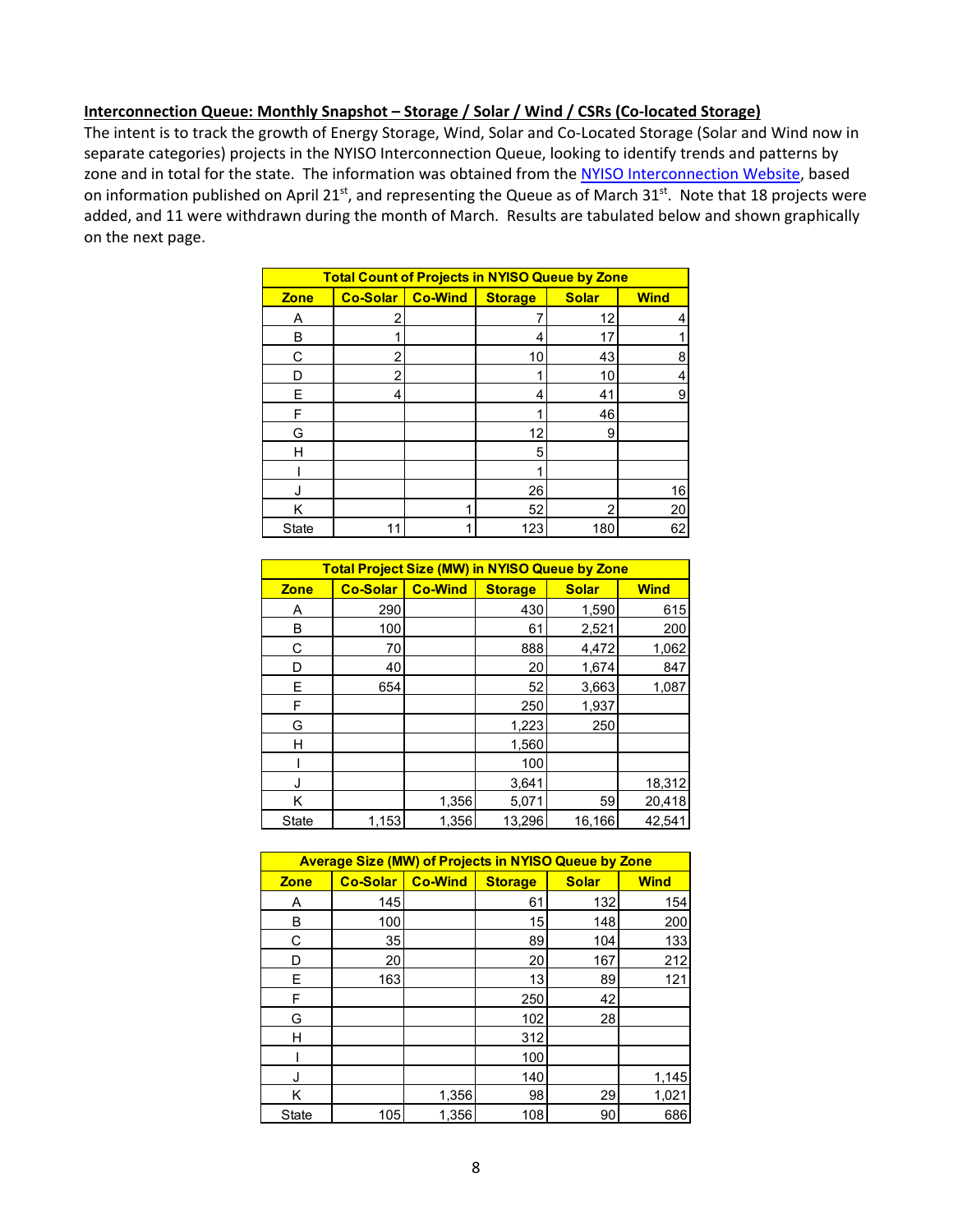#### **Interconnection Queue: Monthly Snapshot – Storage / Solar / Wind / CSRs (Co-located Storage)**

The intent is to track the growth of Energy Storage, Wind, Solar and Co-Located Storage (Solar and Wind now in separate categories) projects in the NYISO Interconnection Queue, looking to identify trends and patterns by zone and in total for the state. The information was obtained from the [NYISO Interconnection Website,](https://www.nyiso.com/interconnections) based on information published on April 21<sup>st</sup>, and representing the Queue as of March 31<sup>st</sup>. Note that 18 projects were added, and 11 were withdrawn during the month of March. Results are tabulated below and shown graphically on the next page.

| <b>Total Count of Projects in NYISO Queue by Zone</b> |                 |                |                |              |             |
|-------------------------------------------------------|-----------------|----------------|----------------|--------------|-------------|
| <b>Zone</b>                                           | <b>Co-Solar</b> | <b>Co-Wind</b> | <b>Storage</b> | <b>Solar</b> | <b>Wind</b> |
| Α                                                     | 2               |                |                | 12           |             |
| в                                                     |                 |                | 4              | 17           |             |
| C                                                     | 2               |                | 10             | 43           | 8           |
| n                                                     | 2               |                |                | 10           |             |
| F                                                     | 4               |                | 4              | 41           | 9           |
| F                                                     |                 |                |                | 46           |             |
| G                                                     |                 |                | 12             | 9            |             |
| н                                                     |                 |                | 5              |              |             |
|                                                       |                 |                |                |              |             |
|                                                       |                 |                | 26             |              | 16          |
| Κ                                                     |                 |                | 52             | っ            | 20          |
| <b>State</b>                                          | 11              |                | 123            | 180          | 62          |

| <b>Total Project Size (MW) in NYISO Queue by Zone</b> |                 |                |                |              |             |
|-------------------------------------------------------|-----------------|----------------|----------------|--------------|-------------|
| <b>Zone</b>                                           | <b>Co-Solar</b> | <b>Co-Wind</b> | <b>Storage</b> | <b>Solar</b> | <b>Wind</b> |
| Α                                                     | 290             |                | 430            | 1,590        | 615         |
| в                                                     | 100             |                | 61             | 2,521        | 200         |
| С                                                     | 70              |                | 888            | 4,472        | 1,062       |
| D                                                     | 40              |                | 20             | 1,674        | 847         |
| E                                                     | 654             |                | 52             | 3,663        | 1,087       |
| F                                                     |                 |                | 250            | 1,937        |             |
| G                                                     |                 |                | 1,223          | 250          |             |
| н                                                     |                 |                | 1,560          |              |             |
|                                                       |                 |                | 100            |              |             |
| J                                                     |                 |                | 3,641          |              | 18,312      |
| Κ                                                     |                 | 1,356          | 5,071          | 59           | 20,418      |
| <b>State</b>                                          | 1,153           | 1,356          | 13,296         | 16,166       | 42,541      |

| <b>Average Size (MW) of Projects in NYISO Queue by Zone</b> |                 |                |                |              |             |  |
|-------------------------------------------------------------|-----------------|----------------|----------------|--------------|-------------|--|
| <b>Zone</b>                                                 | <b>Co-Solar</b> | <b>Co-Wind</b> | <b>Storage</b> | <b>Solar</b> | <b>Wind</b> |  |
| Α                                                           | 145             |                | 61             | 132          | 154         |  |
| B                                                           | 100             |                | 15             | 148          | 200         |  |
| С                                                           | 35              |                | 89             | 104          | 133         |  |
| D                                                           | 20              |                | 20             | 167          | 212         |  |
| E                                                           | 163             |                | 13             | 89           | 121         |  |
| F                                                           |                 |                | 250            | 42           |             |  |
| G                                                           |                 |                | 102            | 28           |             |  |
| н                                                           |                 |                | 312            |              |             |  |
|                                                             |                 |                | 100            |              |             |  |
| J                                                           |                 |                | 140            |              | 1,145       |  |
| Κ                                                           |                 | 1,356          | 98             | 29           | 1,021       |  |
| State                                                       | 105             | 1,356          | 108            | 90           | 686         |  |